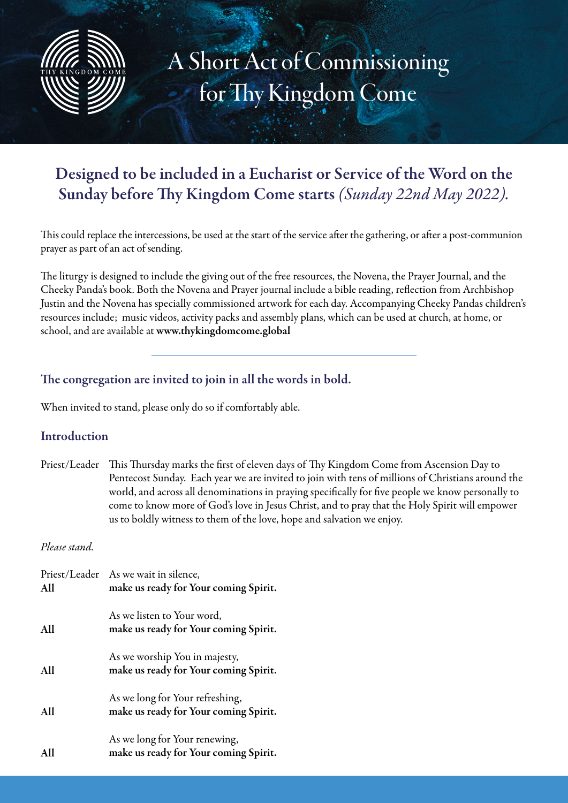

# A Short Act of Commissioning for Thy Kingdom Come

# Designed to be included in a Eucharist or Service of the Word on the Sunday before Thy Kingdom Come starts *(Sunday 22nd May 2022).*

This could replace the intercessions, be used at the start of the service after the gathering, or after a post-communion prayer as part of an act of sending.

The liturgy is designed to include the giving out of the free resources, the Novena, the Prayer Journal, and the Cheeky Panda's book. Both the Novena and Prayer journal include a bible reading, reflection from Archbishop Justin and the Novena has specially commissioned artwork for each day. Accompanying Cheeky Pandas children's resources include; music videos, activity packs and assembly plans, which can be used at church, at home, or school, and are available at www.thykingdomcome.global

## The congregation are invited to join in all the words in bold.

When invited to stand, please only do so if comfortably able.

## **Introduction**

Priest/Leader This Thursday marks the first of eleven days of Thy Kingdom Come from Ascension Day to Pentecost Sunday. Each year we are invited to join with tens of millions of Christians around the world, and across all denominations in praying specifically for five people we know personally to come to know more of God's love in Jesus Christ, and to pray that the Holy Spirit will empower us to boldly witness to them of the love, hope and salvation we enjoy.

#### *Please stand.*

| All | Priest/Leader As we wait in silence,<br>make us ready for Your coming Spirit. |
|-----|-------------------------------------------------------------------------------|
| A11 | As we listen to Your word,<br>make us ready for Your coming Spirit.           |
| A11 | As we worship You in majesty,<br>make us ready for Your coming Spirit.        |
| A11 | As we long for Your refreshing,<br>make us ready for Your coming Spirit.      |
|     | As we long for Your renewing,<br>make us ready for Your coming Spirit.        |